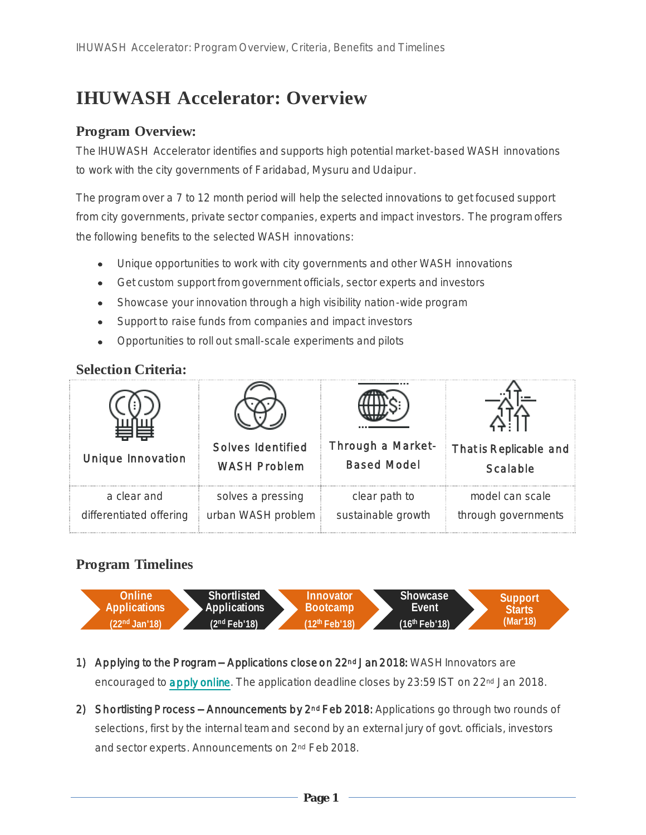# **IHUWASH Accelerator: Overview**

### **Program Overview:**

The IHUWASH Accelerator identifies and supports high potential market-based WASH innovations to work with the city governments of Faridabad, Mysuru and Udaipur.

The program over a 7 to 12 month period will help the selected innovations to get focused support from city governments, private sector companies, experts and impact investors. The program offers the following benefits to the selected WASH innovations:

- Unique opportunities to work with city governments and other WASH innovations
- Get custom support from government officials, sector experts and investors  $\bullet$
- Showcase your innovation through a high visibility nation-wide program  $\bullet$
- Support to raise funds from companies and impact investors  $\bullet$
- Opportunities to roll out small-scale experiments and pilots

#### **Selection Criteria:**

| Unique Innovation       | Solves Identified   | Through a Market-  | That is Replicable and |
|-------------------------|---------------------|--------------------|------------------------|
|                         | <b>WASH Problem</b> | <b>Based Model</b> | Scalable               |
| a clear and             | solves a pressing   | clear path to      | model can scale        |
| differentiated offering | urban WASH problem  | sustainable growth | through governments    |

## **Program Timelines**



- 1) Applying to the Program Applications close on 22<sup>nd</sup> Jan 2018: WASH Innovators are encouraged t[o apply online](http://ihuwashaccl.niua.org/). The application deadline closes by 23:59 IST on 22<sup>nd</sup> Jan 2018.
- 2) Shortlisting Process Announcements by 2<sup>nd</sup> Feb 2018: Applications go through two rounds of selections, first by the internal team and second by an external jury of govt. officials, investors and sector experts. Announcements on 2nd Feb 2018.